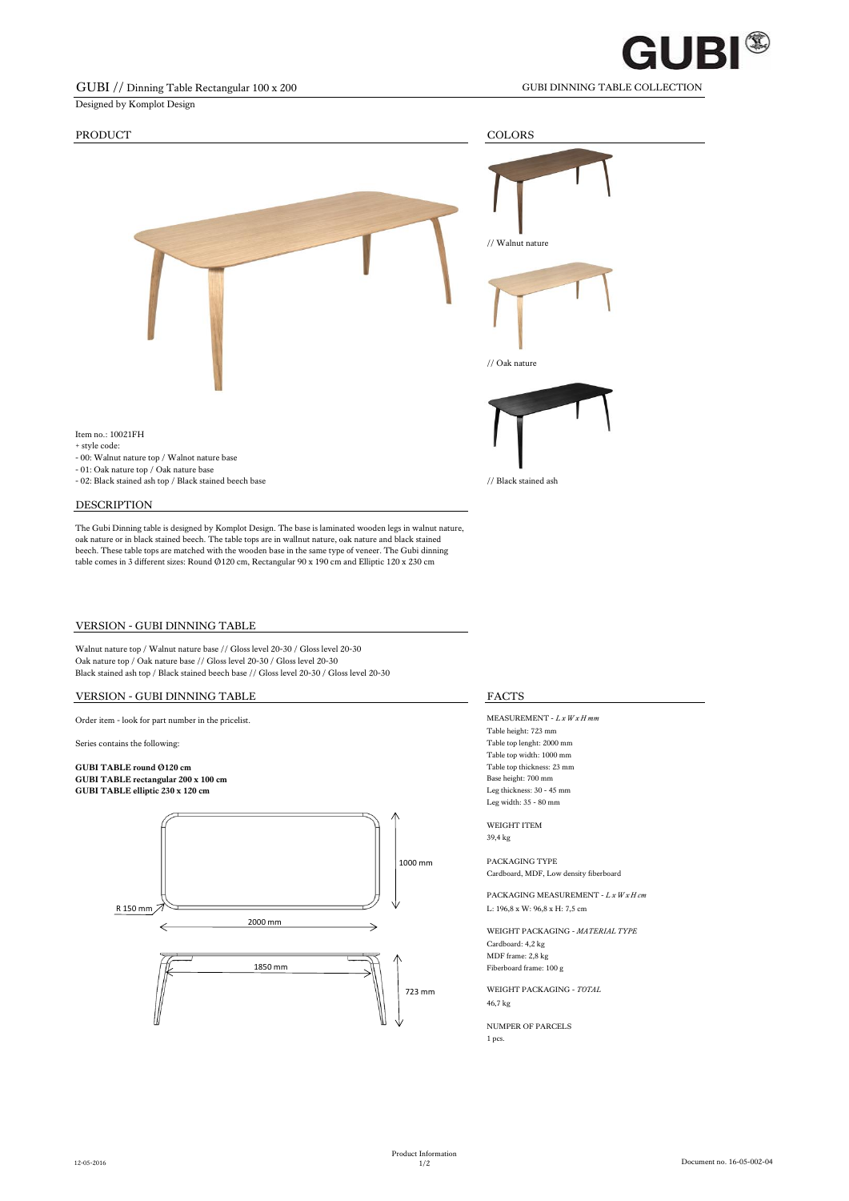

## GUBI // Dinning Table Rectangular 100 x 200 GUBI DINNING TABLE COLLECTION

Designed by Komplot Design



The Gubi Dinning table is designed by Komplot Design. The base is laminated wooden legs in walnut nature, oak nature or in black stained beech. The table tops are in wallnut nature, oak nature and black stained beech. These table tops are matched with the wooden base in the same type of veneer. The Gubi dinning table comes in 3 different sizes: Round Ø120 cm, Rectangular 90 x 190 cm and Elliptic 120 x 230 cm

## VERSION - GUBI DINNING TABLE

Walnut nature top / Walnut nature base // Gloss level 20-30 / Gloss level 20-30 Oak nature top / Oak nature base // Gloss level 20-30 / Gloss level 20-30 Black stained ash top / Black stained beech base // Gloss level 20-30 / Gloss level 20-30

## VERSION - GUBI DINNING TABLE FACTS

Order item - look for part number in the pricelist. MEASUREMENT - *L x W x H mm* 

Series contains the following: Table top lenght: 2000 mm

**GUBI TABLE round Ø120 cm** Table top thickness: 23 mm **GUBI TABLE rectangular 200 x 100 cm** Base height: 700 mm Base height: 700 mm Base height: 700 mm Base height: 700 mm Base height: 700 mm Base height: 700 mm Base height: 700 mm Base height: 700 mm Base height: 700 mm Base **GUBI TABLE elliptic 230 x 120 cm** 



Table height: 723 mm Table top width: 1000 mm Leg width: 35 - 80 mm

WEIGHT ITEM 39,4 kg

PACKAGING TYPE Cardboard, MDF, Low density fiberboard

PACKAGING MEASUREMENT - *L x W x H cm* L: 196,8 x W: 96,8 x H: 7,5 cm

WEIGHT PACKAGING - *MATERIAL TYPE* Cardboard: 4,2 kg MDF frame: 2,8 kg Fiberboard frame: 100 g

WEIGHT PACKAGING - *TOTAL* 46,7 kg

NUMPER OF PARCELS 1 pcs.